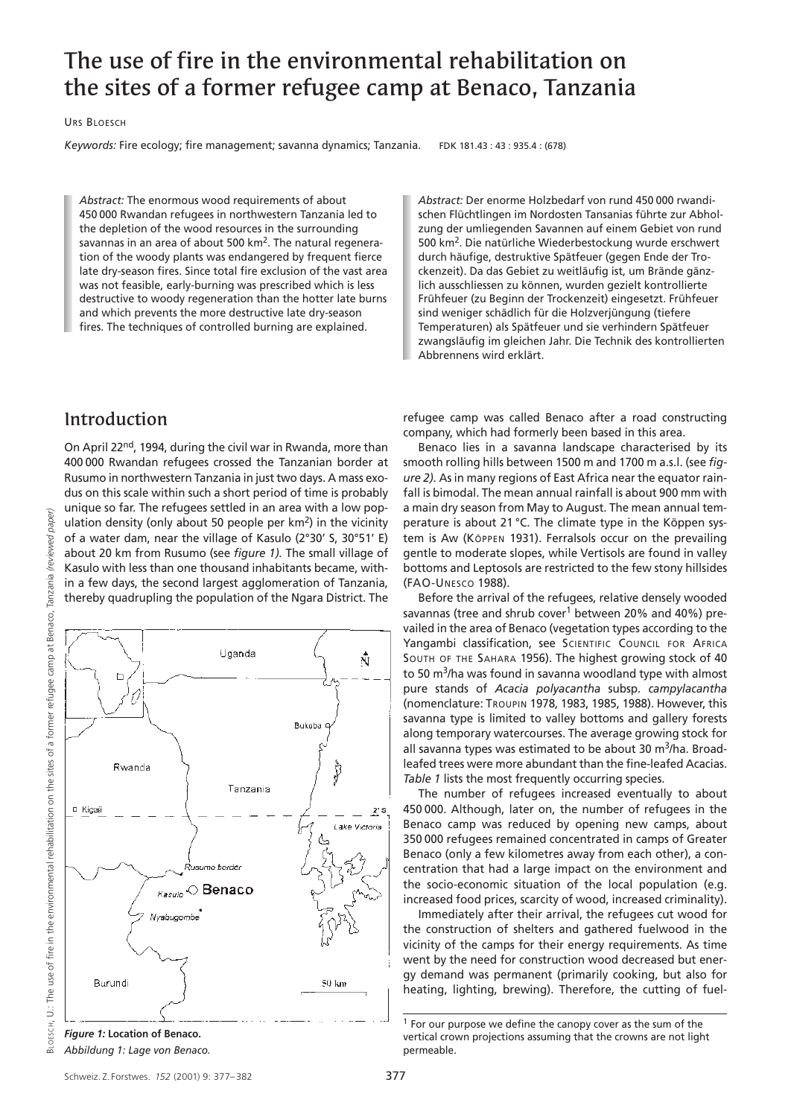# The use of fire in the environmental rehabilitation on the sites of a former refugee camp at Benaco, Tanzania

URS BLOESCH

*Keywords:* Fire ecology; fire management; savanna dynamics; Tanzania. FDK 181.43 : 43 : 935.4 : (678)

*Abstract:* The enormous wood requirements of about 450 000 Rwandan refugees in northwestern Tanzania led to the depletion of the wood resources in the surrounding savannas in an area of about 500 km<sup>2</sup>. The natural regeneration of the woody plants was endangered by frequent fierce late dry-season fires. Since total fire exclusion of the vast area was not feasible, early-burning was prescribed which is less destructive to woody regeneration than the hotter late burns and which prevents the more destructive late dry-season fires. The techniques of controlled burning are explained.

*Abstract:* Der enorme Holzbedarf von rund 450 000 rwandischen Flüchtlingen im Nordosten Tansanias führte zur Abholzung der umliegenden Savannen auf einem Gebiet von rund 500 km2. Die natürliche Wiederbestockung wurde erschwert durch häufige, destruktive Spätfeuer (gegen Ende der Trockenzeit). Da das Gebiet zu weitläufig ist, um Brände gänzlich ausschliessen zu können, wurden gezielt kontrollierte Frühfeuer (zu Beginn der Trockenzeit) eingesetzt. Frühfeuer sind weniger schädlich für die Holzverjüngung (tiefere Temperaturen) als Spätfeuer und sie verhindern Spätfeuer zwangsläufig im gleichen Jahr. Die Technik des kontrollierten Abbrennens wird erklärt.

### Introduction

On April 22<sup>nd</sup>, 1994, during the civil war in Rwanda, more than 400 000 Rwandan refugees crossed the Tanzanian border at Rusumo in northwestern Tanzania in just two days. A mass exodus on this scale within such a short period of time is probably unique so far. The refugees settled in an area with a low population density (only about 50 people per km2) in the vicinity of a water dam, near the village of Kasulo (2°30' S, 30°51' E) about 20 km from Rusumo (see *figure 1).* The small village of Kasulo with less than one thousand inhabitants became, within a few days, the second largest agglomeration of Tanzania, thereby quadrupling the population of the Ngara District. The

BLOESCH. U. The use of fire in the environmental rehabilitation on the sites of a former refugee camp at Benaco. Tanzania (reviewed paper) BLOESCH, U.: The use of fire in the environmental rehabilitation on the sites of a former refugee camp at Benaco, Tanzania *(reviewed paper)*



*Abbildung 1: Lage von Benaco.*

refugee camp was called Benaco after a road constructing company, which had formerly been based in this area.

Benaco lies in a savanna landscape characterised by its smooth rolling hills between 1500 m and 1700 m a.s.l. (see *figure 2).* As in many regions of East Africa near the equator rainfall is bimodal. The mean annual rainfall is about 900 mm with a main dry season from May to August. The mean annual temperature is about 21 °C. The climate type in the Köppen system is Aw (KÖPPEN 1931). Ferralsols occur on the prevailing gentle to moderate slopes, while Vertisols are found in valley bottoms and Leptosols are restricted to the few stony hillsides (FAO-UNESCO 1988).

Before the arrival of the refugees, relative densely wooded savannas (tree and shrub cover<sup>1</sup> between 20% and 40%) prevailed in the area of Benaco (vegetation types according to the Yangambi classification, see SCIENTIFIC COUNCIL FOR AFRICA SOUTH OF THE SAHARA 1956). The highest growing stock of 40 to 50 m<sup>3</sup>/ha was found in savanna woodland type with almost pure stands of *Acacia polyacantha* subsp. *campylacantha* (nomenclature: TROUPIN 1978, 1983, 1985, 1988). However, this savanna type is limited to valley bottoms and gallery forests along temporary watercourses. The average growing stock for all savanna types was estimated to be about 30  $\text{m}^3/\text{ha}$ . Broadleafed trees were more abundant than the fine-leafed Acacias. *Table 1* lists the most frequently occurring species.

The number of refugees increased eventually to about 450 000. Although, later on, the number of refugees in the Benaco camp was reduced by opening new camps, about 350 000 refugees remained concentrated in camps of Greater Benaco (only a few kilometres away from each other), a concentration that had a large impact on the environment and the socio-economic situation of the local population (e.g. increased food prices, scarcity of wood, increased criminality).

Immediately after their arrival, the refugees cut wood for the construction of shelters and gathered fuelwood in the vicinity of the camps for their energy requirements. As time went by the need for construction wood decreased but energy demand was permanent (primarily cooking, but also for heating, lighting, brewing). Therefore, the cutting of fuel-

<sup>1</sup> For our purpose we define the canopy cover as the sum of the vertical crown projections assuming that the crowns are not light permeable.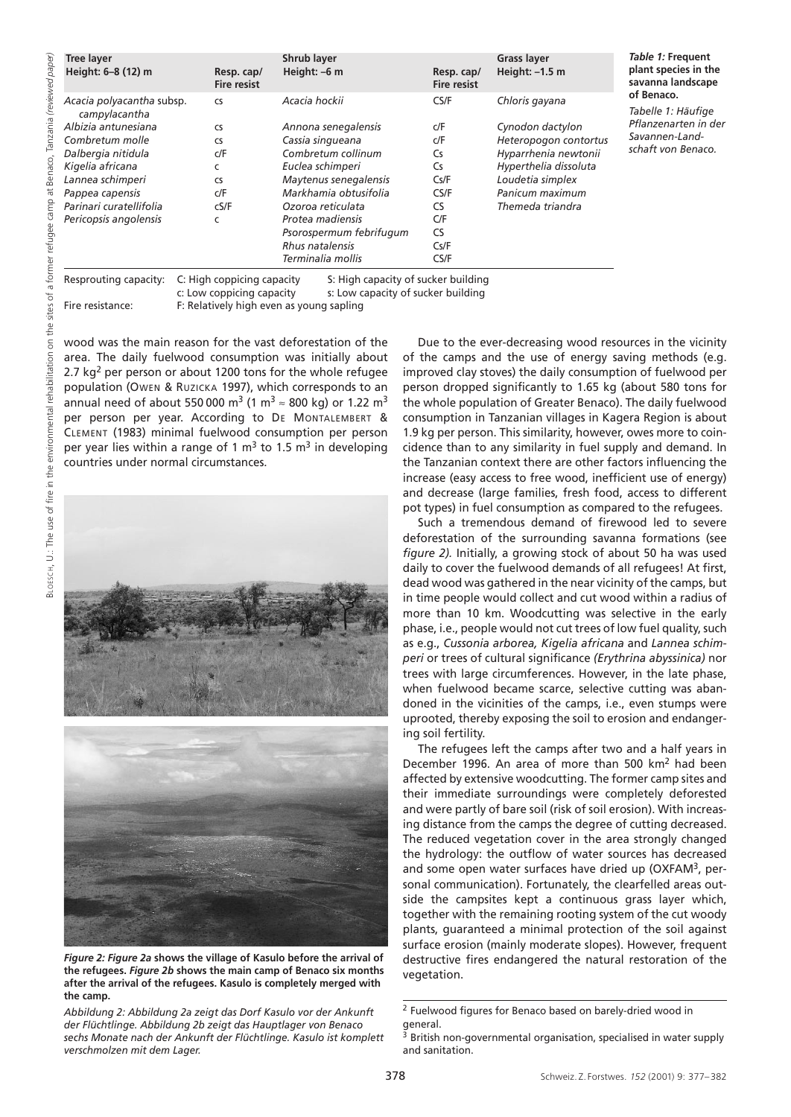| <b>Tree layer</b><br>Height: 6-8 (12) m                                                                                                                                                                                                                                    | Resp. cap/<br><b>Fire resist</b> | <b>Shrub layer</b><br>Height: -6 m                                                                                                                                                                                                                               | Resp. cap/<br><b>Fire resist</b>                                                                | <b>Grass layer</b><br>Height: $-1.5$ m                                                                                                                                  | Table 1: Frequent<br>plant species in the<br>savanna landscape                                   |
|----------------------------------------------------------------------------------------------------------------------------------------------------------------------------------------------------------------------------------------------------------------------------|----------------------------------|------------------------------------------------------------------------------------------------------------------------------------------------------------------------------------------------------------------------------------------------------------------|-------------------------------------------------------------------------------------------------|-------------------------------------------------------------------------------------------------------------------------------------------------------------------------|--------------------------------------------------------------------------------------------------|
| Acacia polyacantha subsp.<br>campylacantha<br>Albizia antunesiana<br><b>CS</b><br>Combretum molle<br><b>CS</b><br>Dalbergia nitidula<br>Kigelia africana<br>c<br>Lannea schimperi<br><b>CS</b><br>Pappea capensis<br>Parinari curatellifolia<br>Pericopsis angolensis<br>C | <b>CS</b><br>C/F<br>c/F<br>cS/F  | Acacia hockii<br>Annona senegalensis<br>Cassia singueana<br>Combretum collinum<br>Euclea schimperi<br>Maytenus senegalensis<br>Markhamia obtusifolia<br>Ozoroa reticulata<br>Protea madiensis<br>Psorospermum febrifugum<br>Rhus natalensis<br>Terminalia mollis | CS/F<br>c/F<br>C/F<br>Cs<br>Cs<br>Cs/F<br>CS/F<br><b>CS</b><br>C/F<br><b>CS</b><br>Cs/F<br>CS/F | Chloris gayana<br>Cynodon dactylon<br>Heteropogon contortus<br>Hyparrhenia newtonii<br>Hyperthelia dissoluta<br>Loudetia simplex<br>Panicum maximum<br>Themeda triandra | of Benaco.<br>Tabelle 1: Häufige<br>Pflanzenarten in der<br>Savannen-Land-<br>schaft von Benaco. |

c: Low coppicing capacity s: Low capacity of sucker building Fire resistance: F: Relatively high even as young sapling

wood was the main reason for the vast deforestation of the area. The daily fuelwood consumption was initially about 2.7  $kg<sup>2</sup>$  per person or about 1200 tons for the whole refugee population (OWEN & RUZICKA 1997), which corresponds to an annual need of about 550 000 m<sup>3</sup> (1 m<sup>3</sup>  $\approx$  800 kg) or 1.22 m<sup>3</sup> per person per year. According to DE MONTALEMBERT & CLEMENT (1983) minimal fuelwood consumption per person per year lies within a range of 1  $m<sup>3</sup>$  to 1.5  $m<sup>3</sup>$  in developing countries under normal circumstances.





*Figure 2: Figure 2a* **shows the village of Kasulo before the arrival of the refugees.** *Figure 2b* **shows the main camp of Benaco six months after the arrival of the refugees. Kasulo is completely merged with the camp.** 

*Abbildung 2: Abbildung 2a zeigt das Dorf Kasulo vor der Ankunft der Flüchtlinge. Abbildung 2b zeigt das Hauptlager von Benaco sechs Monate nach der Ankunft der Flüchtlinge. Kasulo ist komplett verschmolzen mit dem Lager.*

Due to the ever-decreasing wood resources in the vicinity of the camps and the use of energy saving methods (e.g. improved clay stoves) the daily consumption of fuelwood per person dropped significantly to 1.65 kg (about 580 tons for the whole population of Greater Benaco). The daily fuelwood consumption in Tanzanian villages in Kagera Region is about 1.9 kg per person. This similarity, however, owes more to coincidence than to any similarity in fuel supply and demand. In the Tanzanian context there are other factors influencing the increase (easy access to free wood, inefficient use of energy) and decrease (large families, fresh food, access to different pot types) in fuel consumption as compared to the refugees.

Such a tremendous demand of firewood led to severe deforestation of the surrounding savanna formations (see *figure 2).* Initially, a growing stock of about 50 ha was used daily to cover the fuelwood demands of all refugees! At first, dead wood was gathered in the near vicinity of the camps, but in time people would collect and cut wood within a radius of more than 10 km. Woodcutting was selective in the early phase, i.e., people would not cut trees of low fuel quality, such as e.g., *Cussonia arborea, Kigelia africana* and *Lannea schimperi* or trees of cultural significance *(Erythrina abyssinica)* nor trees with large circumferences. However, in the late phase, when fuelwood became scarce, selective cutting was abandoned in the vicinities of the camps, i.e., even stumps were uprooted, thereby exposing the soil to erosion and endangering soil fertility.

The refugees left the camps after two and a half years in December 1996. An area of more than 500 km<sup>2</sup> had been affected by extensive woodcutting. The former camp sites and their immediate surroundings were completely deforested and were partly of bare soil (risk of soil erosion). With increasing distance from the camps the degree of cutting decreased. The reduced vegetation cover in the area strongly changed the hydrology: the outflow of water sources has decreased and some open water surfaces have dried up (OXFAM<sup>3</sup>, personal communication). Fortunately, the clearfelled areas outside the campsites kept a continuous grass layer which, together with the remaining rooting system of the cut woody plants, guaranteed a minimal protection of the soil against surface erosion (mainly moderate slopes). However, frequent destructive fires endangered the natural restoration of the vegetation.

<sup>2</sup> Fuelwood figures for Benaco based on barely-dried wood in general.<br>3 n.y.

British non-governmental organisation, specialised in water supply and sanitation.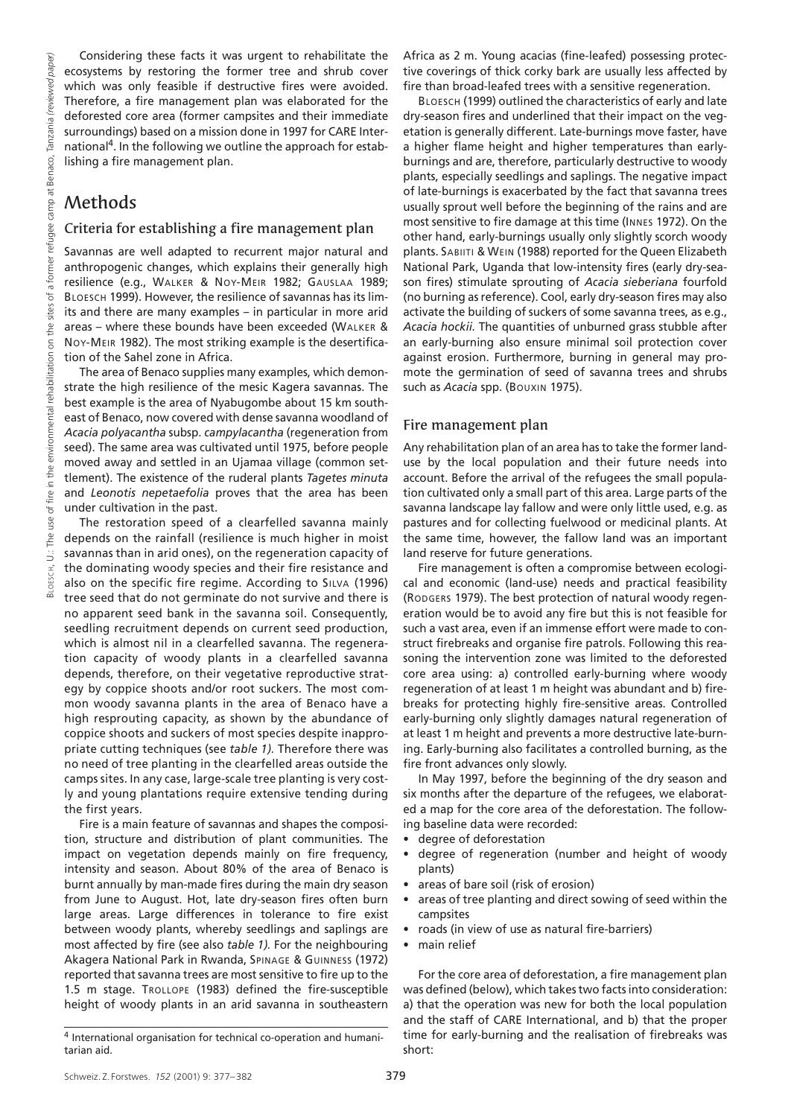Considering these facts it was urgent to rehabilitate the ecosystems by restoring the former tree and shrub cover which was only feasible if destructive fires were avoided. Therefore, a fire management plan was elaborated for the deforested core area (former campsites and their immediate surroundings) based on a mission done in 1997 for CARE International4. In the following we outline the approach for establishing a fire management plan.

## Methods

#### Criteria for establishing a fire management plan

Savannas are well adapted to recurrent major natural and anthropogenic changes, which explains their generally high resilience (e.g., WALKER & NOY-MEIR 1982; GAUSLAA 1989; BLOESCH 1999). However, the resilience of savannas has its limits and there are many examples – in particular in more arid areas – where these bounds have been exceeded (WALKER & NOY-MEIR 1982). The most striking example is the desertification of the Sahel zone in Africa.

The area of Benaco supplies many examples, which demonstrate the high resilience of the mesic Kagera savannas. The best example is the area of Nyabugombe about 15 km southeast of Benaco, now covered with dense savanna woodland of *Acacia polyacantha* subsp. *campylacantha* (regeneration from seed). The same area was cultivated until 1975, before people moved away and settled in an Ujamaa village (common settlement). The existence of the ruderal plants *Tagetes minuta* and *Leonotis nepetaefolia* proves that the area has been under cultivation in the past.

The restoration speed of a clearfelled savanna mainly depends on the rainfall (resilience is much higher in moist savannas than in arid ones), on the regeneration capacity of the dominating woody species and their fire resistance and also on the specific fire regime. According to SILVA (1996) tree seed that do not germinate do not survive and there is no apparent seed bank in the savanna soil. Consequently, seedling recruitment depends on current seed production, which is almost nil in a clearfelled savanna. The regeneration capacity of woody plants in a clearfelled savanna depends, therefore, on their vegetative reproductive strategy by coppice shoots and/or root suckers. The most common woody savanna plants in the area of Benaco have a high resprouting capacity, as shown by the abundance of coppice shoots and suckers of most species despite inappropriate cutting techniques (see *table 1).* Therefore there was no need of tree planting in the clearfelled areas outside the camps sites. In any case, large-scale tree planting is very costly and young plantations require extensive tending during the first years.

Fire is a main feature of savannas and shapes the composition, structure and distribution of plant communities. The impact on vegetation depends mainly on fire frequency, intensity and season. About 80% of the area of Benaco is burnt annually by man-made fires during the main dry season from June to August. Hot, late dry-season fires often burn large areas. Large differences in tolerance to fire exist between woody plants, whereby seedlings and saplings are most affected by fire (see also *table 1).* For the neighbouring Akagera National Park in Rwanda, SPINAGE & GUINNESS (1972) reported that savanna trees are most sensitive to fire up to the 1.5 m stage. TROLLOPE (1983) defined the fire-susceptible height of woody plants in an arid savanna in southeastern Africa as 2 m. Young acacias (fine-leafed) possessing protective coverings of thick corky bark are usually less affected by fire than broad-leafed trees with a sensitive regeneration.

BLOESCH (1999) outlined the characteristics of early and late dry-season fires and underlined that their impact on the vegetation is generally different. Late-burnings move faster, have a higher flame height and higher temperatures than earlyburnings and are, therefore, particularly destructive to woody plants, especially seedlings and saplings. The negative impact of late-burnings is exacerbated by the fact that savanna trees usually sprout well before the beginning of the rains and are most sensitive to fire damage at this time (INNES 1972). On the other hand, early-burnings usually only slightly scorch woody plants. SABIITI & WEIN (1988) reported for the Queen Elizabeth National Park, Uganda that low-intensity fires (early dry-season fires) stimulate sprouting of *Acacia sieberiana* fourfold (no burning as reference). Cool, early dry-season fires may also activate the building of suckers of some savanna trees, as e.g., *Acacia hockii.* The quantities of unburned grass stubble after an early-burning also ensure minimal soil protection cover against erosion. Furthermore, burning in general may promote the germination of seed of savanna trees and shrubs such as *Acacia* spp. (BOUXIN 1975).

#### Fire management plan

Any rehabilitation plan of an area has to take the former landuse by the local population and their future needs into account. Before the arrival of the refugees the small population cultivated only a small part of this area. Large parts of the savanna landscape lay fallow and were only little used, e.g. as pastures and for collecting fuelwood or medicinal plants. At the same time, however, the fallow land was an important land reserve for future generations.

Fire management is often a compromise between ecological and economic (land-use) needs and practical feasibility (RODGERS 1979). The best protection of natural woody regeneration would be to avoid any fire but this is not feasible for such a vast area, even if an immense effort were made to construct firebreaks and organise fire patrols. Following this reasoning the intervention zone was limited to the deforested core area using: a) controlled early-burning where woody regeneration of at least 1 m height was abundant and b) firebreaks for protecting highly fire-sensitive areas. Controlled early-burning only slightly damages natural regeneration of at least 1 m height and prevents a more destructive late-burning. Early-burning also facilitates a controlled burning, as the fire front advances only slowly.

In May 1997, before the beginning of the dry season and six months after the departure of the refugees, we elaborated a map for the core area of the deforestation. The following baseline data were recorded:

- degree of deforestation
- degree of regeneration (number and height of woody plants)
- areas of bare soil (risk of erosion)
- areas of tree planting and direct sowing of seed within the campsites
- roads (in view of use as natural fire-barriers)
- main relief

For the core area of deforestation, a fire management plan was defined (below), which takes two facts into consideration: a) that the operation was new for both the local population and the staff of CARE International, and b) that the proper time for early-burning and the realisation of firebreaks was short:

<sup>4</sup> International organisation for technical co-operation and humanitarian aid.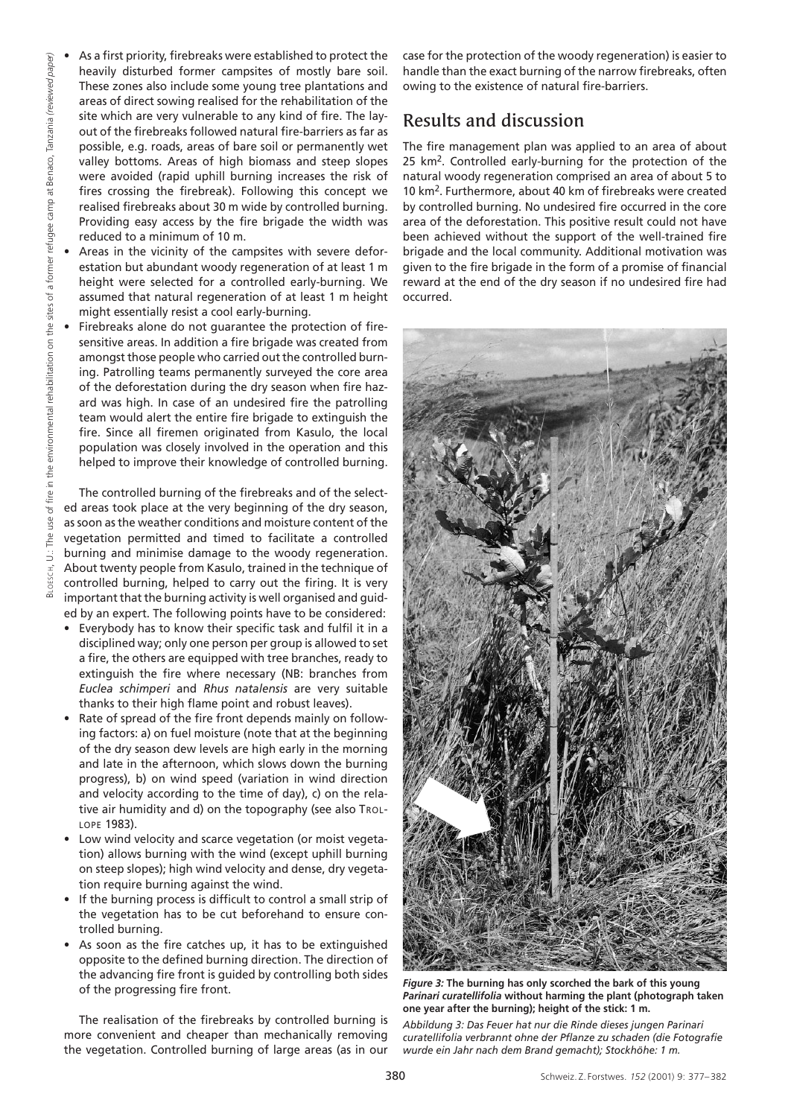- As a first priority, firebreaks were established to protect the heavily disturbed former campsites of mostly bare soil. These zones also include some young tree plantations and areas of direct sowing realised for the rehabilitation of the site which are very vulnerable to any kind of fire. The layout of the firebreaks followed natural fire-barriers as far as possible, e.g. roads, areas of bare soil or permanently wet valley bottoms. Areas of high biomass and steep slopes were avoided (rapid uphill burning increases the risk of fires crossing the firebreak). Following this concept we realised firebreaks about 30 m wide by controlled burning. Providing easy access by the fire brigade the width was reduced to a minimum of 10 m.
- Areas in the vicinity of the campsites with severe deforestation but abundant woody regeneration of at least 1 m height were selected for a controlled early-burning. We assumed that natural regeneration of at least 1 m height might essentially resist a cool early-burning.
- Firebreaks alone do not quarantee the protection of firesensitive areas. In addition a fire brigade was created from amongst those people who carried out the controlled burning. Patrolling teams permanently surveyed the core area of the deforestation during the dry season when fire hazard was high. In case of an undesired fire the patrolling team would alert the entire fire brigade to extinguish the fire. Since all firemen originated from Kasulo, the local population was closely involved in the operation and this helped to improve their knowledge of controlled burning.

The controlled burning of the firebreaks and of the selected areas took place at the very beginning of the dry season, as soon as the weather conditions and moisture content of the vegetation permitted and timed to facilitate a controlled burning and minimise damage to the woody regeneration. About twenty people from Kasulo, trained in the technique of controlled burning, helped to carry out the firing. It is very important that the burning activity is well organised and guided by an expert. The following points have to be considered:

- Everybody has to know their specific task and fulfil it in a disciplined way; only one person per group is allowed to set a fire, the others are equipped with tree branches, ready to extinguish the fire where necessary (NB: branches from *Euclea schimperi* and *Rhus natalensis* are very suitable thanks to their high flame point and robust leaves).
- Rate of spread of the fire front depends mainly on following factors: a) on fuel moisture (note that at the beginning of the dry season dew levels are high early in the morning and late in the afternoon, which slows down the burning progress), b) on wind speed (variation in wind direction and velocity according to the time of day), c) on the relative air humidity and d) on the topography (see also TROL-LOPE 1983).
- Low wind velocity and scarce vegetation (or moist vegetation) allows burning with the wind (except uphill burning on steep slopes); high wind velocity and dense, dry vegetation require burning against the wind.
- If the burning process is difficult to control a small strip of the vegetation has to be cut beforehand to ensure controlled burning.
- As soon as the fire catches up, it has to be extinguished opposite to the defined burning direction. The direction of the advancing fire front is guided by controlling both sides of the progressing fire front.

The realisation of the firebreaks by controlled burning is more convenient and cheaper than mechanically removing the vegetation. Controlled burning of large areas (as in our case for the protection of the woody regeneration) is easier to handle than the exact burning of the narrow firebreaks, often owing to the existence of natural fire-barriers.

## Results and discussion

The fire management plan was applied to an area of about 25 km2. Controlled early-burning for the protection of the natural woody regeneration comprised an area of about 5 to 10 km2. Furthermore, about 40 km of firebreaks were created by controlled burning. No undesired fire occurred in the core area of the deforestation. This positive result could not have been achieved without the support of the well-trained fire brigade and the local community. Additional motivation was given to the fire brigade in the form of a promise of financial reward at the end of the dry season if no undesired fire had occurred.



*Figure 3:* **The burning has only scorched the bark of this young** *Parinari curatellifolia* **without harming the plant (photograph taken one year after the burning); height of the stick: 1 m.** 

*Abbildung 3: Das Feuer hat nur die Rinde dieses jungen Parinari curatellifolia verbrannt ohne der Pflanze zu schaden (die Fotografie wurde ein Jahr nach dem Brand gemacht); Stockhöhe: 1 m.*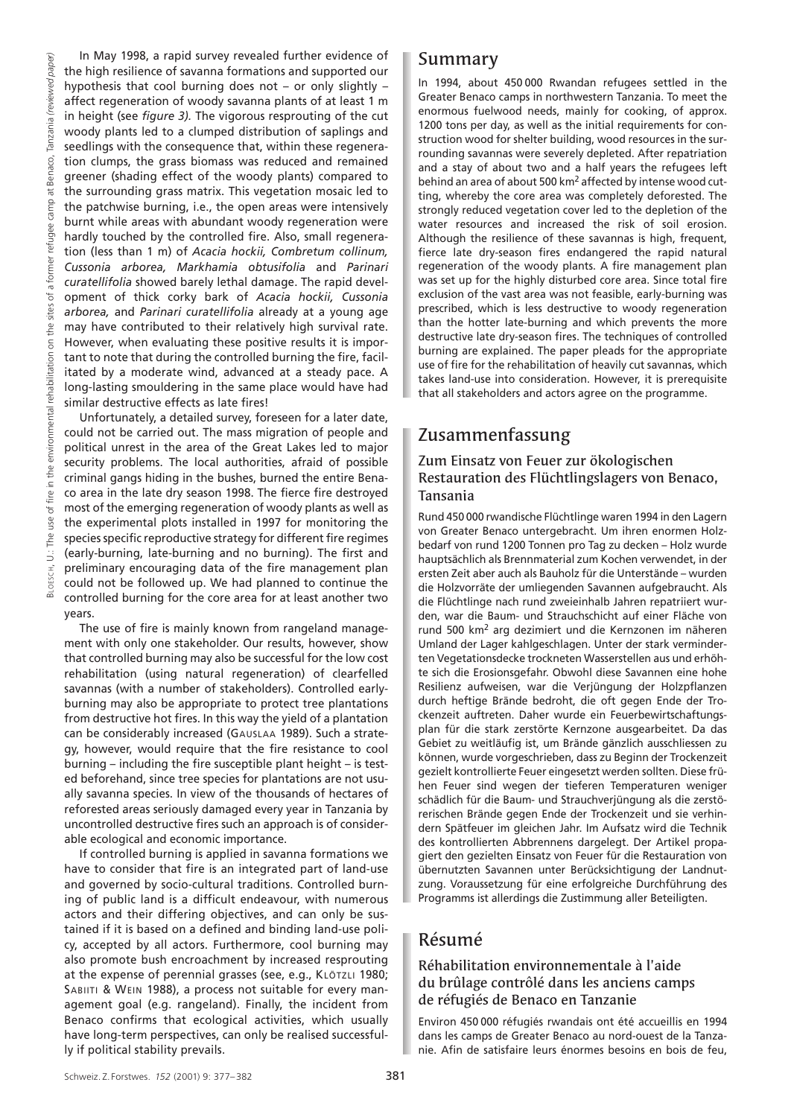BLOESCH, U.: The use of fire in the environmental rehabilitation on the sites of a former refugee camp at Benaco, Tanzania *(reviewed paper)* (reviewed paper, Tanzania Benaco.  $\vec{a}$ camp refugee former of a sites the  $\delta$ rehabilitation environmental in the  $\epsilon$ fire  $\overline{\sigma}$ use The  $\ddot{\Rightarrow}$ 

In May 1998, a rapid survey revealed further evidence of the high resilience of savanna formations and supported our hypothesis that cool burning does not – or only slightly – affect regeneration of woody savanna plants of at least 1 m in height (see *figure 3).* The vigorous resprouting of the cut woody plants led to a clumped distribution of saplings and seedlings with the consequence that, within these regeneration clumps, the grass biomass was reduced and remained greener (shading effect of the woody plants) compared to the surrounding grass matrix. This vegetation mosaic led to the patchwise burning, i.e., the open areas were intensively burnt while areas with abundant woody regeneration were hardly touched by the controlled fire. Also, small regeneration (less than 1 m) of *Acacia hockii, Combretum collinum, Cussonia arborea, Markhamia obtusifolia* and *Parinari curatellifolia* showed barely lethal damage. The rapid development of thick corky bark of *Acacia hockii, Cussonia arborea,* and *Parinari curatellifolia* already at a young age may have contributed to their relatively high survival rate. However, when evaluating these positive results it is important to note that during the controlled burning the fire, facilitated by a moderate wind, advanced at a steady pace. A long-lasting smouldering in the same place would have had similar destructive effects as late fires!

Unfortunately, a detailed survey, foreseen for a later date, could not be carried out. The mass migration of people and political unrest in the area of the Great Lakes led to major security problems. The local authorities, afraid of possible criminal gangs hiding in the bushes, burned the entire Benaco area in the late dry season 1998. The fierce fire destroyed most of the emerging regeneration of woody plants as well as the experimental plots installed in 1997 for monitoring the species specific reproductive strategy for different fire regimes (early-burning, late-burning and no burning). The first and preliminary encouraging data of the fire management plan could not be followed up. We had planned to continue the controlled burning for the core area for at least another two years.

The use of fire is mainly known from rangeland management with only one stakeholder. Our results, however, show that controlled burning may also be successful for the low cost rehabilitation (using natural regeneration) of clearfelled savannas (with a number of stakeholders). Controlled earlyburning may also be appropriate to protect tree plantations from destructive hot fires. In this way the yield of a plantation can be considerably increased (GAUSLAA 1989). Such a strategy, however, would require that the fire resistance to cool burning – including the fire susceptible plant height – is tested beforehand, since tree species for plantations are not usually savanna species. In view of the thousands of hectares of reforested areas seriously damaged every year in Tanzania by uncontrolled destructive fires such an approach is of considerable ecological and economic importance.

If controlled burning is applied in savanna formations we have to consider that fire is an integrated part of land-use and governed by socio-cultural traditions. Controlled burning of public land is a difficult endeavour, with numerous actors and their differing objectives, and can only be sustained if it is based on a defined and binding land-use policy, accepted by all actors. Furthermore, cool burning may also promote bush encroachment by increased resprouting at the expense of perennial grasses (see, e.g., KLÖTZLI 1980; SABIITI & WEIN 1988), a process not suitable for every management goal (e.g. rangeland). Finally, the incident from Benaco confirms that ecological activities, which usually have long-term perspectives, can only be realised successfully if political stability prevails.

### Summary

In 1994, about 450 000 Rwandan refugees settled in the Greater Benaco camps in northwestern Tanzania. To meet the enormous fuelwood needs, mainly for cooking, of approx. 1200 tons per day, as well as the initial requirements for construction wood for shelter building, wood resources in the surrounding savannas were severely depleted. After repatriation and a stay of about two and a half years the refugees left behind an area of about 500 km2 affected by intense wood cutting, whereby the core area was completely deforested. The strongly reduced vegetation cover led to the depletion of the water resources and increased the risk of soil erosion. Although the resilience of these savannas is high, frequent, fierce late dry-season fires endangered the rapid natural regeneration of the woody plants. A fire management plan was set up for the highly disturbed core area. Since total fire exclusion of the vast area was not feasible, early-burning was prescribed, which is less destructive to woody regeneration than the hotter late-burning and which prevents the more destructive late dry-season fires. The techniques of controlled burning are explained. The paper pleads for the appropriate use of fire for the rehabilitation of heavily cut savannas, which takes land-use into consideration. However, it is prerequisite that all stakeholders and actors agree on the programme.

### Zusammenfassung

### Zum Einsatz von Feuer zur ökologischen Restauration des Flüchtlingslagers von Benaco, Tansania

Rund 450 000 rwandische Flüchtlinge waren 1994 in den Lagern von Greater Benaco untergebracht. Um ihren enormen Holzbedarf von rund 1200 Tonnen pro Tag zu decken – Holz wurde hauptsächlich als Brennmaterial zum Kochen verwendet, in der ersten Zeit aber auch als Bauholz für die Unterstände – wurden die Holzvorräte der umliegenden Savannen aufgebraucht. Als die Flüchtlinge nach rund zweieinhalb Jahren repatriiert wurden, war die Baum- und Strauchschicht auf einer Fläche von rund 500 km2 arg dezimiert und die Kernzonen im näheren Umland der Lager kahlgeschlagen. Unter der stark verminderten Vegetationsdecke trockneten Wasserstellen aus und erhöhte sich die Erosionsgefahr. Obwohl diese Savannen eine hohe Resilienz aufweisen, war die Verjüngung der Holzpflanzen durch heftige Brände bedroht, die oft gegen Ende der Trockenzeit auftreten. Daher wurde ein Feuerbewirtschaftungsplan für die stark zerstörte Kernzone ausgearbeitet. Da das Gebiet zu weitläufig ist, um Brände gänzlich ausschliessen zu können, wurde vorgeschrieben, dass zu Beginn der Trockenzeit gezielt kontrollierte Feuer eingesetzt werden sollten. Diese frühen Feuer sind wegen der tieferen Temperaturen weniger schädlich für die Baum- und Strauchverjüngung als die zerstörerischen Brände gegen Ende der Trockenzeit und sie verhindern Spätfeuer im gleichen Jahr. Im Aufsatz wird die Technik des kontrollierten Abbrennens dargelegt. Der Artikel propagiert den gezielten Einsatz von Feuer für die Restauration von übernutzten Savannen unter Berücksichtigung der Landnutzung. Voraussetzung für eine erfolgreiche Durchführung des Programms ist allerdings die Zustimmung aller Beteiligten.

## Résumé

### Réhabilitation environnementale à l'aide du brûlage contrôlé dans les anciens camps de réfugiés de Benaco en Tanzanie

Environ 450 000 réfugiés rwandais ont été accueillis en 1994 dans les camps de Greater Benaco au nord-ouest de la Tanzanie. Afin de satisfaire leurs énormes besoins en bois de feu,